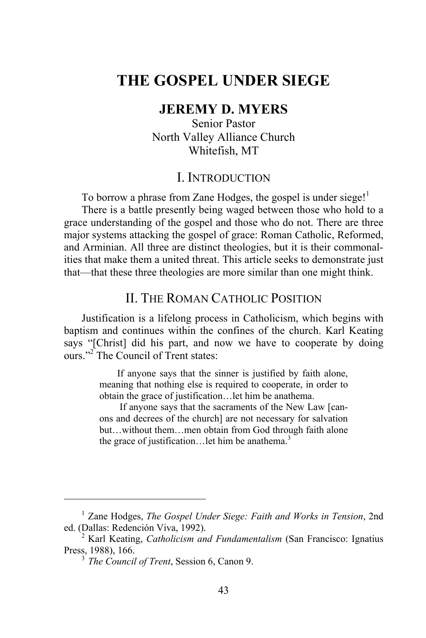# **THE GOSPEL UNDER SIEGE**

#### **JEREMY D. MYERS**

Senior Pastor North Valley Alliance Church Whitefish, MT

#### I. INTRODUCTION

To borrow a phrase from Zane Hodges, the gospel is under siege!<sup>1</sup> There is a battle presently being waged between those who hold to a grace understanding of the gospel and those who do not. There are three major systems attacking the gospel of grace: Roman Catholic, Reformed, and Arminian. All three are distinct theologies, but it is their commonalities that make them a united threat. This article seeks to demonstrate just that—that these three theologies are more similar than one might think.

## II. THE ROMAN CATHOLIC POSITION

Justification is a lifelong process in Catholicism, which begins with baptism and continues within the confines of the church. Karl Keating says "[Christ] did his part, and now we have to cooperate by doing ours."<sup>2</sup> The Council of Trent states:

> If anyone says that the sinner is justified by faith alone, meaning that nothing else is required to cooperate, in order to obtain the grace of justification…let him be anathema.

> If anyone says that the sacraments of the New Law [canons and decrees of the church] are not necessary for salvation but…without them…men obtain from God through faith alone the grace of justification... let him be anathema. $3$

 $\overline{a}$ 

<sup>&</sup>lt;sup>1</sup> Zane Hodges, *The Gospel Under Siege: Faith and Works in Tension*, 2nd ed. (Dallas: Redención Viva, 1992).

<sup>&</sup>lt;sup>2</sup> Karl Keating, *Catholicism and Fundamentalism* (San Francisco: Ignatius Press, 1988), 166.

 $\frac{3}{3}$  *The Council of Trent*, Session 6, Canon 9.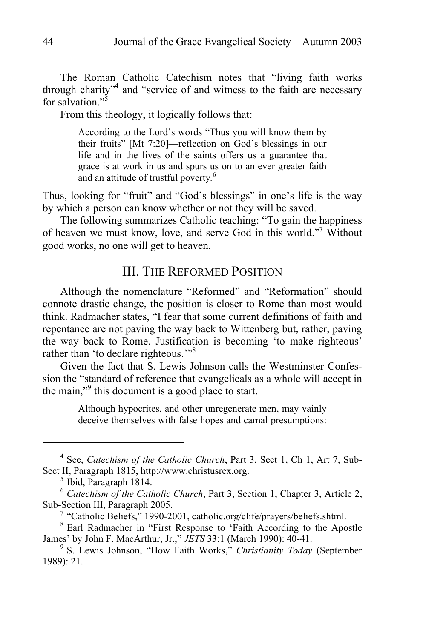The Roman Catholic Catechism notes that "living faith works through charity<sup>34</sup> and "service of and witness to the faith are necessary for salvation<sup> $,5$ </sup>

From this theology, it logically follows that:

According to the Lord's words "Thus you will know them by their fruits" [Mt 7:20]—reflection on God's blessings in our life and in the lives of the saints offers us a guarantee that grace is at work in us and spurs us on to an ever greater faith and an attitude of trustful poverty*.* 6

Thus, looking for "fruit" and "God's blessings" in one's life is the way by which a person can know whether or not they will be saved.

The following summarizes Catholic teaching: "To gain the happiness of heaven we must know, love, and serve God in this world."<sup>7</sup> Without good works, no one will get to heaven.

# III. THE REFORMED POSITION

Although the nomenclature "Reformed" and "Reformation" should connote drastic change, the position is closer to Rome than most would think. Radmacher states, "I fear that some current definitions of faith and repentance are not paving the way back to Wittenberg but, rather, paving the way back to Rome. Justification is becoming 'to make righteous' rather than 'to declare righteous."<sup>8</sup>

Given the fact that S. Lewis Johnson calls the Westminster Confession the "standard of reference that evangelicals as a whole will accept in the main,"<sup>9</sup> this document is a good place to start.

> Although hypocrites, and other unregenerate men, may vainly deceive themselves with false hopes and carnal presumptions:

 $\overline{a}$ 

<sup>&</sup>lt;sup>4</sup> See, *Catechism of the Catholic Church*, Part 3, Sect 1, Ch 1, Art 7, Sub-Sect II, Paragraph 1815, http://www.christusrex.org.

 $<sup>5</sup>$  Ibid, Paragraph 1814.</sup>

<sup>6</sup> *Catechism of the Catholic Church*, Part 3, Section 1, Chapter 3, Article 2, Sub-Section III, Paragraph 2005.

<sup>&</sup>lt;sup>7</sup> "Catholic Beliefs," 1990-2001, catholic.org/clife/prayers/beliefs.shtml.

<sup>&</sup>lt;sup>8</sup> Earl Radmacher in "First Response to 'Faith According to the Apostle James' by John F. MacArthur, Jr.," *JETS* 33:1 (March 1990): 40-41. 9

S. Lewis Johnson, "How Faith Works," *Christianity Today* (September 1989): 21.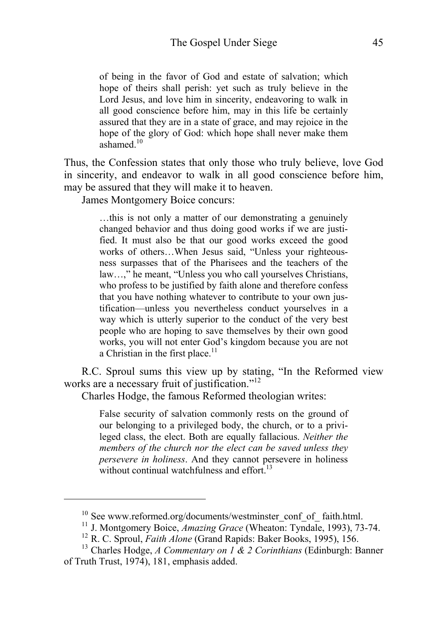of being in the favor of God and estate of salvation; which hope of theirs shall perish: yet such as truly believe in the Lord Jesus, and love him in sincerity, endeavoring to walk in all good conscience before him, may in this life be certainly assured that they are in a state of grace, and may rejoice in the hope of the glory of God: which hope shall never make them ashamed.<sup>10</sup>

Thus, the Confession states that only those who truly believe, love God in sincerity, and endeavor to walk in all good conscience before him, may be assured that they will make it to heaven.

James Montgomery Boice concurs:

 $\overline{a}$ 

…this is not only a matter of our demonstrating a genuinely changed behavior and thus doing good works if we are justified. It must also be that our good works exceed the good works of others…When Jesus said, "Unless your righteousness surpasses that of the Pharisees and the teachers of the law…," he meant, "Unless you who call yourselves Christians, who profess to be justified by faith alone and therefore confess that you have nothing whatever to contribute to your own justification—unless you nevertheless conduct yourselves in a way which is utterly superior to the conduct of the very best people who are hoping to save themselves by their own good works, you will not enter God's kingdom because you are not a Christian in the first place. $11$ 

R.C. Sproul sums this view up by stating, "In the Reformed view works are a necessary fruit of justification."<sup>12</sup>

Charles Hodge, the famous Reformed theologian writes:

False security of salvation commonly rests on the ground of our belonging to a privileged body, the church, or to a privileged class, the elect. Both are equally fallacious. *Neither the members of the church nor the elect can be saved unless they persevere in holiness*. And they cannot persevere in holiness without continual watchfulness and effort. $^{13}$ 

 $10$  See www.reformed.org/documents/westminster\_conf\_of\_ faith.html.

<sup>&</sup>lt;sup>11</sup> J. Montgomery Boice, *Amazing Grace* (Wheaton: Tyndale, 1993), 73-74.<br><sup>12</sup> R. C. Sproul, *Faith Alone* (Grand Rapids: Baker Books, 1995), 156.<br><sup>13</sup> Charles Hodge, *A Commentary on 1 & 2 Corinthians* (Edinburgh: Banne

of Truth Trust, 1974), 181, emphasis added.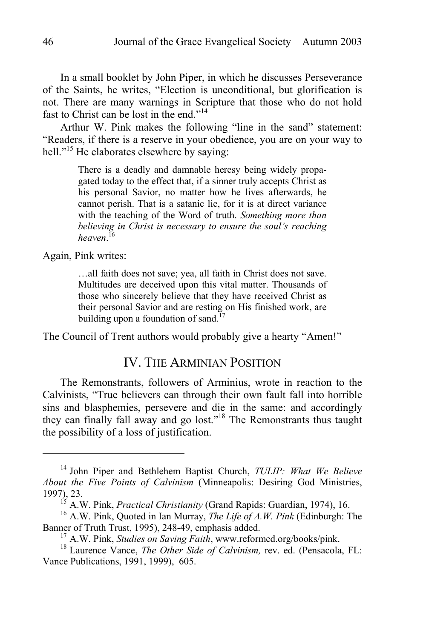In a small booklet by John Piper, in which he discusses Perseverance of the Saints, he writes, "Election is unconditional, but glorification is not. There are many warnings in Scripture that those who do not hold fast to Christ can be lost in the end."14

Arthur W. Pink makes the following "line in the sand" statement: "Readers, if there is a reserve in your obedience, you are on your way to hell."<sup>15</sup> He elaborates elsewhere by saying:

> There is a deadly and damnable heresy being widely propagated today to the effect that, if a sinner truly accepts Christ as his personal Savior, no matter how he lives afterwards, he cannot perish. That is a satanic lie, for it is at direct variance with the teaching of the Word of truth. *Something more than believing in Christ is necessary to ensure the soul's reaching heaven*. 16

Again, Pink writes:

 $\overline{a}$ 

…all faith does not save; yea, all faith in Christ does not save. Multitudes are deceived upon this vital matter. Thousands of those who sincerely believe that they have received Christ as their personal Savior and are resting on His finished work, are building upon a foundation of sand.<sup>17</sup>

The Council of Trent authors would probably give a hearty "Amen!"

## IV. THE ARMINIAN POSITION

The Remonstrants, followers of Arminius, wrote in reaction to the Calvinists, "True believers can through their own fault fall into horrible sins and blasphemies, persevere and die in the same: and accordingly they can finally fall away and go lost."18 The Remonstrants thus taught the possibility of a loss of justification.

<sup>14</sup> John Piper and Bethlehem Baptist Church, *TULIP: What We Believe About the Five Points of Calvinism* (Minneapolis: Desiring God Ministries,

<sup>1997), 23.&</sup>lt;br><sup>15</sup> A.W. Pink, *Practical Christianity* (Grand Rapids: Guardian, 1974), 16.<br><sup>16</sup> A.W. Pink, Quoted in Ian Murray, *The Life of A.W. Pink* (Edinburgh: The Banner of Truth Trust, 1995), 248-49, emphasis added.

<sup>&</sup>lt;sup>17</sup> A.W. Pink, *Studies on Saving Faith*, www.reformed.org/books/pink.<br><sup>18</sup> Laurence Vance, *The Other Side of Calvinism*, rev. ed. (Pensacola, FL:

Vance Publications, 1991, 1999), 605.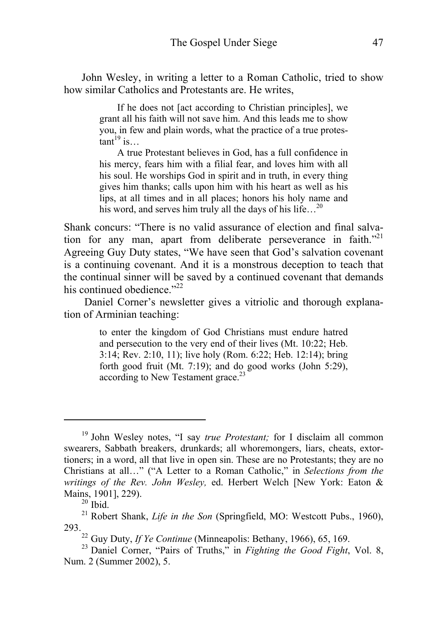John Wesley, in writing a letter to a Roman Catholic, tried to show how similar Catholics and Protestants are. He writes,

> If he does not [act according to Christian principles], we grant all his faith will not save him. And this leads me to show you, in few and plain words, what the practice of a true protes- $\tanh^{19}$  is…

> A true Protestant believes in God, has a full confidence in his mercy, fears him with a filial fear, and loves him with all his soul. He worships God in spirit and in truth, in every thing gives him thanks; calls upon him with his heart as well as his lips, at all times and in all places; honors his holy name and his word, and serves him truly all the days of his life...<sup>20</sup>

Shank concurs: "There is no valid assurance of election and final salvation for any man, apart from deliberate perseverance in faith.<sup>"21</sup> Agreeing Guy Duty states, "We have seen that God's salvation covenant is a continuing covenant. And it is a monstrous deception to teach that the continual sinner will be saved by a continued covenant that demands his continued obedience  $v^{22}$ 

 Daniel Corner's newsletter gives a vitriolic and thorough explanation of Arminian teaching:

> to enter the kingdom of God Christians must endure hatred and persecution to the very end of their lives (Mt. 10:22; Heb. 3:14; Rev. 2:10, 11); live holy (Rom. 6:22; Heb. 12:14); bring forth good fruit (Mt. 7:19); and do good works (John 5:29), according to New Testament grace.<sup>23</sup>

 $\overline{a}$ 

<sup>19</sup> John Wesley notes, "I say *true Protestant;* for I disclaim all common swearers, Sabbath breakers, drunkards; all whoremongers, liars, cheats, extortioners; in a word, all that live in open sin. These are no Protestants; they are no Christians at all…" ("A Letter to a Roman Catholic," in *Selections from the writings of the Rev. John Wesley,* ed. Herbert Welch [New York: Eaton & Mains, 1901], 229).<br><sup>20</sup> Ibid.

<sup>&</sup>lt;sup>21</sup> Robert Shank, *Life in the Son* (Springfield, MO: Westcott Pubs., 1960), 293.

<sup>&</sup>lt;sup>22</sup> Guy Duty, *If Ye Continue* (Minneapolis: Bethany, 1966), 65, 169.<br><sup>23</sup> Daniel Corner, "Pairs of Truths," in *Fighting the Good Fight*, Vol. 8,

Num. 2 (Summer 2002), 5.